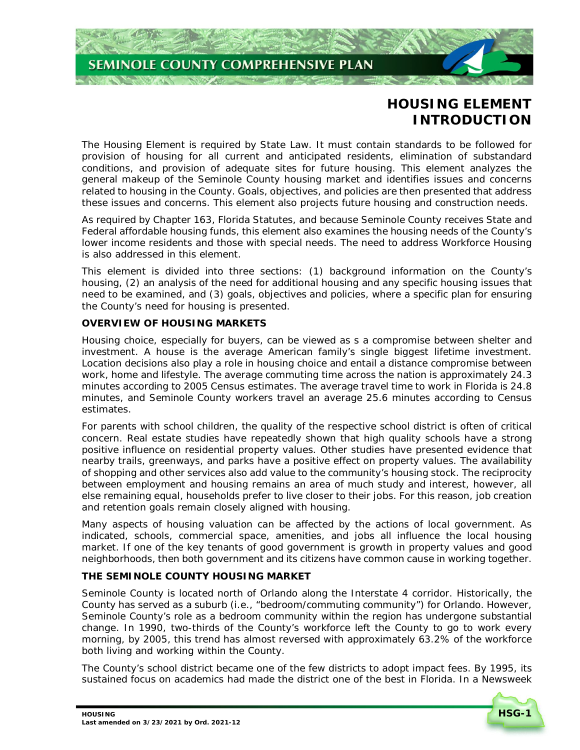# **HOUSING ELEMENT INTRODUCTION**

 The Housing Element is required by State Law. It must contain standards to be followed for provision of housing for all current and anticipated residents, elimination of substandard conditions, and provision of adequate sites for future housing. This element analyzes the general makeup of the Seminole County housing market and identifies issues and concerns related to housing in the County. Goals, objectives, and policies are then presented that address these issues and concerns. This element also projects future housing and construction needs.

 As required by Chapter 163, Florida Statutes, and because Seminole County receives State and Federal affordable housing funds, this element also examines the housing needs of the County's lower income residents and those with special needs. The need to address Workforce Housing is also addressed in this element.

 This element is divided into three sections: (1) background information on the County's housing, (2) an analysis of the need for additional housing and any specific housing issues that need to be examined, and (3) goals, objectives and policies, where a specific plan for ensuring the County's need for housing is presented.

# **OVERVIEW OF HOUSING MARKETS**

 Housing choice, especially for buyers, can be viewed as s a compromise between shelter and investment. A house is the average American family's single biggest lifetime investment. Location decisions also play a role in housing choice and entail a distance compromise between work, home and lifestyle. The average commuting time across the nation is approximately 24.3 minutes according to 2005 Census estimates. The average travel time to work in Florida is 24.8 minutes, and Seminole County workers travel an average 25.6 minutes according to Census estimates.

 For parents with school children, the quality of the respective school district is often of critical concern. Real estate studies have repeatedly shown that high quality schools have a strong positive influence on residential property values. Other studies have presented evidence that nearby trails, greenways, and parks have a positive effect on property values. The availability of shopping and other services also add value to the community's housing stock. The reciprocity between employment and housing remains an area of much study and interest, however, all else remaining equal, households prefer to live closer to their jobs. For this reason, job creation and retention goals remain closely aligned with housing.

 Many aspects of housing valuation can be affected by the actions of local government. As indicated, schools, commercial space, amenities, and jobs all influence the local housing market. If one of the key tenants of good government is growth in property values and good neighborhoods, then both government and its citizens have common cause in working together.

# **THE SEMINOLE COUNTY HOUSING MARKET**

 Seminole County is located north of Orlando along the Interstate 4 corridor. Historically, the County has served as a suburb (i.e., "bedroom/commuting community") for Orlando. However, Seminole County's role as a bedroom community within the region has undergone substantial change. In 1990, two-thirds of the County's workforce left the County to go to work every morning, by 2005, this trend has almost reversed with approximately 63.2% of the workforce both living and working within the County.

 The County's school district became one of the few districts to adopt impact fees. By 1995, its sustained focus on academics had made the district one of the best in Florida. In a Newsweek

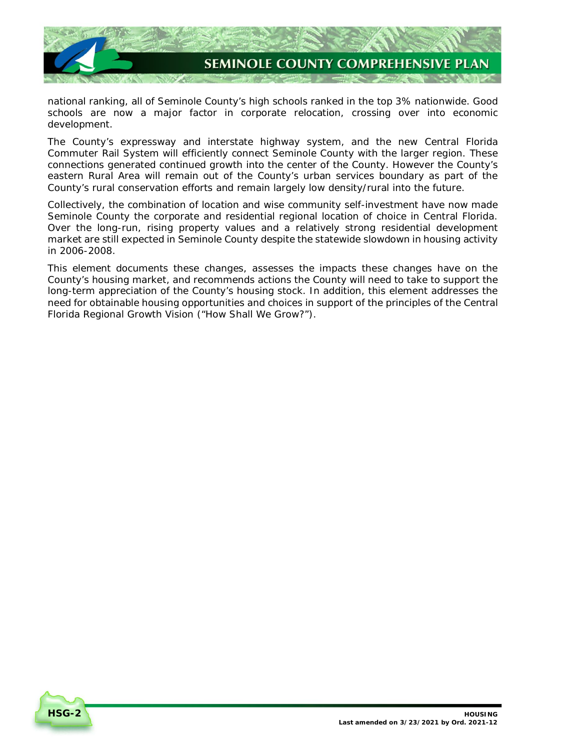

 national ranking, all of Seminole County's high schools ranked in the top 3% nationwide. Good schools are now a major factor in corporate relocation, crossing over into economic development.

development.<br>The County's expressway and interstate highway system, and the new Central Florida Commuter Rail System will efficiently connect Seminole County with the larger region. These connections generated continued growth into the center of the County. However the County's eastern Rural Area will remain out of the County's urban services boundary as part of the County's rural conservation efforts and remain largely low density/rural into the future.

 Collectively, the combination of location and wise community self-investment have now made Seminole County the corporate and residential regional location of choice in Central Florida. Over the long-run, rising property values and a relatively strong residential development market are still expected in Seminole County despite the statewide slowdown in housing activity in 2006-2008.

in 2006-2008.<br>This element documents these changes, assesses the impacts these changes have on the County's housing market, and recommends actions the County will need to take to support the long-term appreciation of the County's housing stock. In addition, this element addresses the need for obtainable housing opportunities and choices in support of the principles of the Central Florida Regional Growth Vision ("How Shall We Grow?").

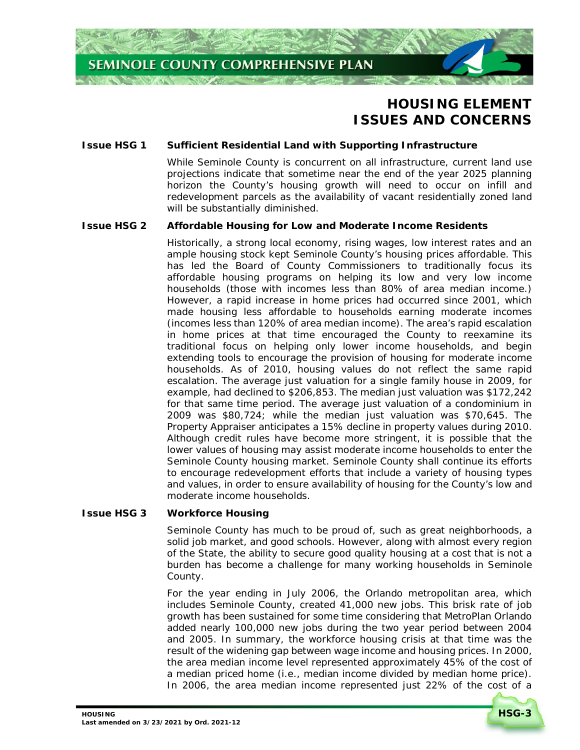

# **HOUSING ELEMENT ISSUES AND CONCERNS**

### **Issue HSG 1 Sufficient Residential Land with Supporting Infrastructure**

 While Seminole County is concurrent on all infrastructure, current land use projections indicate that sometime near the end of the year 2025 planning horizon the County's housing growth will need to occur on infill and redevelopment parcels as the availability of vacant residentially zoned land will be substantially diminished.

#### **Issue HSG 2 Affordable Housing for Low and Moderate Income Residents**

 Historically, a strong local economy, rising wages, low interest rates and an ample housing stock kept Seminole County's housing prices affordable. This has led the Board of County Commissioners to traditionally focus its affordable housing programs on helping its low and very low income households (those with incomes less than 80% of area median income.) However, a rapid increase in home prices had occurred since 2001, which made housing less affordable to households earning moderate incomes (incomes less than 120% of area median income). The area's rapid escalation in home prices at that time encouraged the County to reexamine its traditional focus on helping only lower income households, and begin extending tools to encourage the provision of housing for moderate income households. As of 2010, housing values do not reflect the same rapid escalation. The average just valuation for a single family house in 2009, for example, had declined to \$206,853. The median just valuation was \$172,242 for that same time period. The average just valuation of a condominium in 2009 was \$80,724; while the median just valuation was \$70,645. The Property Appraiser anticipates a 15% decline in property values during 2010. Although credit rules have become more stringent, it is possible that the lower values of housing may assist moderate income households to enter the Seminole County housing market. Seminole County shall continue its efforts to encourage redevelopment efforts that include a variety of housing types and values, in order to ensure availability of housing for the County's low and moderate income households.

#### **Issue HSG 3 Workforce Housing**

 Seminole County has much to be proud of, such as great neighborhoods, a solid job market, and good schools. However, along with almost every region of the State, the ability to secure good quality housing at a cost that is not a burden has become a challenge for many working households in Seminole County.

County.<br>For the year ending in July 2006, the Orlando metropolitan area, which includes Seminole County, created 41,000 new jobs. This brisk rate of job growth has been sustained for some time considering that MetroPlan Orlando added nearly 100,000 new jobs during the two year period between 2004 and 2005. In summary, the workforce housing crisis at that time was the result of the widening gap between wage income and housing prices. In 2000, the area median income level represented approximately 45% of the cost of a median priced home (i.e., median income divided by median home price). In 2006, the area median income represented just 22% of the cost of a

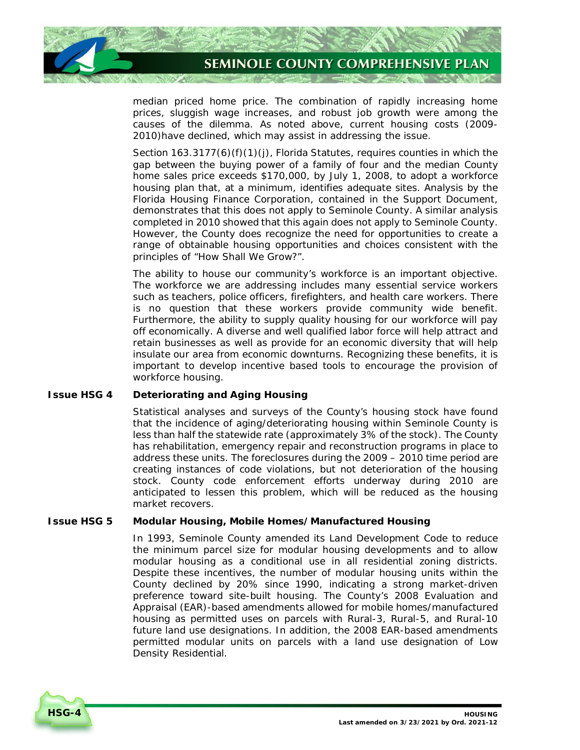

 median priced home price. The combination of rapidly increasing home prices, sluggish wage increases, and robust job growth were among the causes of the dilemma. As noted above, current housing costs (2009- 2010)have declined, which may assist in addressing the issue.

 Section 163.3177(6)(f)(1)(j), Florida Statutes, requires counties in which the gap between the buying power of a family of four and the median County home sales price exceeds \$170,000, by July 1, 2008, to adopt a workforce housing plan that, at a minimum, identifies adequate sites. Analysis by the Florida Housing Finance Corporation, contained in the Support Document, demonstrates that this does not apply to Seminole County. A similar analysis completed in 2010 showed that this again does not apply to Seminole County. However, the County does recognize the need for opportunities to create a range of obtainable housing opportunities and choices consistent with the principles of "How Shall We Grow?".

 The ability to house our community's workforce is an important objective. The workforce we are addressing includes many essential service workers such as teachers, police officers, firefighters, and health care workers. There is no question that these workers provide community wide benefit. Furthermore, the ability to supply quality housing for our workforce will pay off economically. A diverse and well qualified labor force will help attract and retain businesses as well as provide for an economic diversity that will help insulate our area from economic downturns. Recognizing these benefits, it is important to develop incentive based tools to encourage the provision of workforce housing.

#### **Issue HSG 4 Deteriorating and Aging Housing**

 Statistical analyses and surveys of the County's housing stock have found that the incidence of aging/deteriorating housing within Seminole County is less than half the statewide rate (approximately 3% of the stock). The County has rehabilitation, emergency repair and reconstruction programs in place to address these units. The foreclosures during the 2009 – 2010 time period are creating instances of code violations, but not deterioration of the housing stock. County code enforcement efforts underway during 2010 are anticipated to lessen this problem, which will be reduced as the housing market recovers.

#### **Issue HSG 5 Modular Housing, Mobile Homes/Manufactured Housing**

 In 1993, Seminole County amended its Land Development Code to reduce the minimum parcel size for modular housing developments and to allow modular housing as a conditional use in all residential zoning districts. Despite these incentives, the number of modular housing units within the County declined by 20% since 1990, indicating a strong market-driven preference toward site-built housing. The County's 2008 Evaluation and Appraisal (EAR)-based amendments allowed for mobile homes/manufactured housing as permitted uses on parcels with Rural-3, Rural-5, and Rural-10 future land use designations. In addition, the 2008 EAR-based amendments permitted modular units on parcels with a land use designation of Low Density Residential.

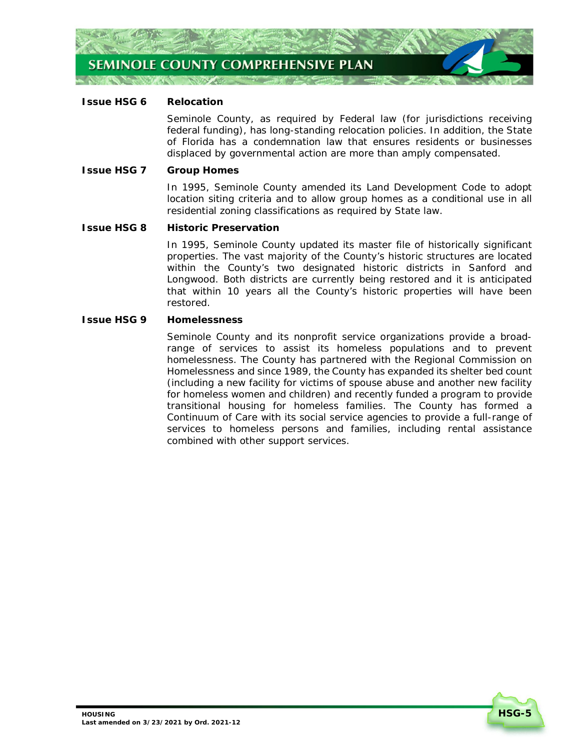

## **Issue HSG 6 Relocation**

 Seminole County, as required by Federal law (for jurisdictions receiving federal funding), has long-standing relocation policies. In addition, the State of Florida has a condemnation law that ensures residents or businesses displaced by governmental action are more than amply compensated.

#### **Issue HSG 7 Group Homes**

 In 1995, Seminole County amended its Land Development Code to adopt location siting criteria and to allow group homes as a conditional use in all residential zoning classifications as required by State law.

#### **Issue HSG 8 Historic Preservation**

 In 1995, Seminole County updated its master file of historically significant properties. The vast majority of the County's historic structures are located within the County's two designated historic districts in Sanford and Longwood. Both districts are currently being restored and it is anticipated that within 10 years all the County's historic properties will have been restored.

#### **Issue HSG 9 Homelessness**

 Seminole County and its nonprofit service organizations provide a broad- range of services to assist its homeless populations and to prevent homelessness. The County has partnered with the Regional Commission on Homelessness and since 1989, the County has expanded its shelter bed count (including a new facility for victims of spouse abuse and another new facility for homeless women and children) and recently funded a program to provide transitional housing for homeless families. The County has formed a Continuum of Care with its social service agencies to provide a full-range of services to homeless persons and families, including rental assistance combined with other support services.

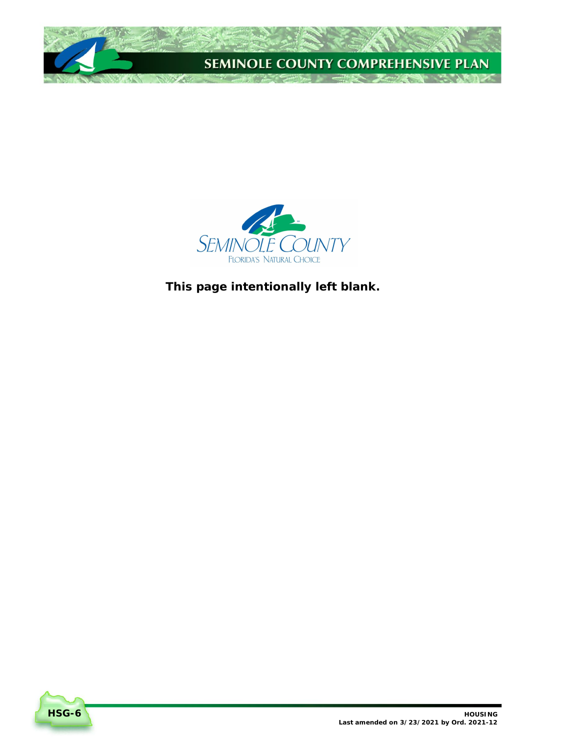



**This page intentionally left blank.** 

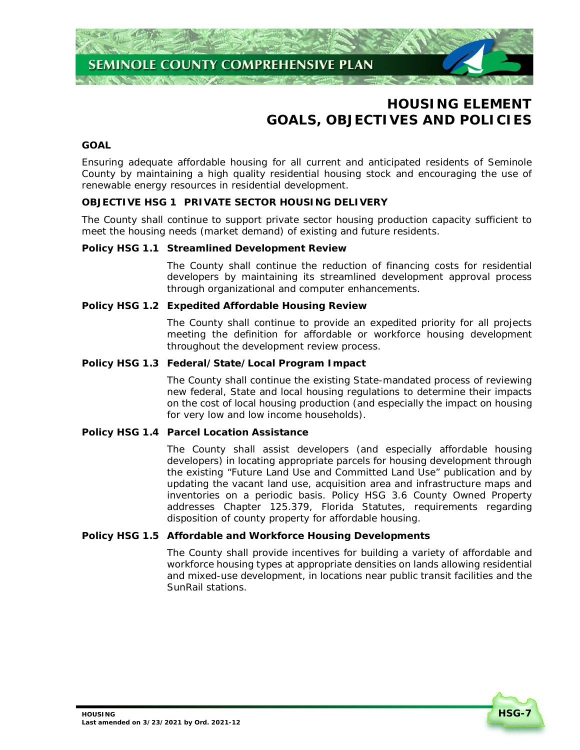

# **HOUSING ELEMENT GOALS, OBJECTIVES AND POLICIES**

### **GOAL**

 Ensuring adequate affordable housing for all current and anticipated residents of Seminole County by maintaining a high quality residential housing stock and encouraging the use of renewable energy resources in residential development.

## **OBJECTIVE HSG 1 PRIVATE SECTOR HOUSING DELIVERY**

 The County shall continue to support private sector housing production capacity sufficient to meet the housing needs (market demand) of existing and future residents.

## **Policy HSG 1.1 Streamlined Development Review**

 The County shall continue the reduction of financing costs for residential developers by maintaining its streamlined development approval process through organizational and computer enhancements.

#### **Policy HSG 1.2 Expedited Affordable Housing Review**

 The County shall continue to provide an expedited priority for all projects meeting the definition for affordable or workforce housing development throughout the development review process.

#### **Policy HSG 1.3 Federal/State/Local Program Impact**

 The County shall continue the existing State-mandated process of reviewing new federal, State and local housing regulations to determine their impacts on the cost of local housing production (and especially the impact on housing for very low and low income households).

# **Policy HSG 1.4 Parcel Location Assistance**

 The County shall assist developers (and especially affordable housing developers) in locating appropriate parcels for housing development through the existing "Future Land Use and Committed Land Use" publication and by updating the vacant land use, acquisition area and infrastructure maps and inventories on a periodic basis. *Policy HSG 3.6 County Owned Property*  addresses Chapter 125.379, Florida Statutes, requirements regarding disposition of county property for affordable housing.

## **Policy HSG 1.5 Affordable and Workforce Housing Developments**

 The County shall provide incentives for building a variety of affordable and workforce housing types at appropriate densities on lands allowing residential and mixed-use development, in locations near public transit facilities and the SunRail stations.

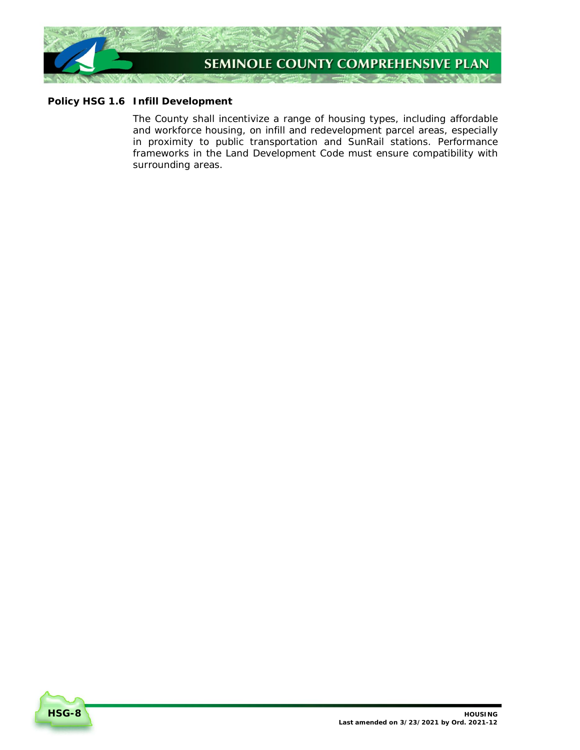

# **Policy HSG 1.6 Infill Development**

 The County shall incentivize a range of housing types, including affordable and workforce housing, on infill and redevelopment parcel areas, especially in proximity to public transportation and SunRail stations. Performance frameworks in the Land Development Code must ensure compatibility with surrounding areas.

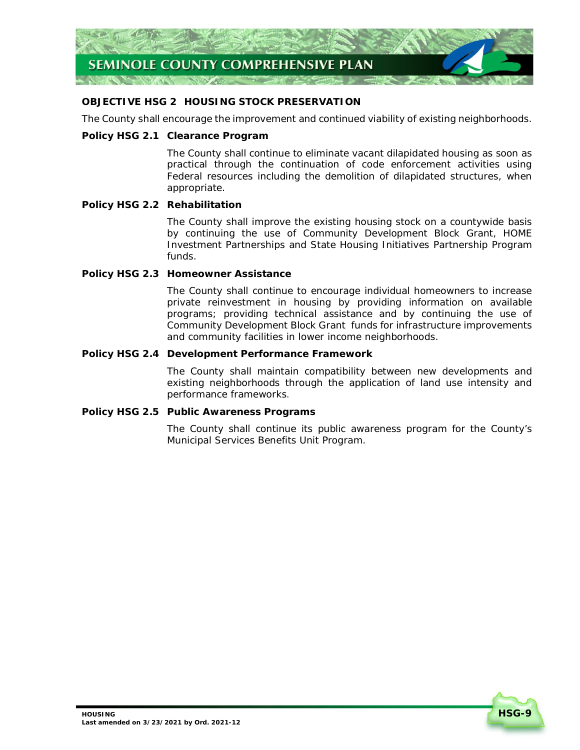

# **OBJECTIVE HSG 2 HOUSING STOCK PRESERVATION**

The County shall encourage the improvement and continued viability of existing neighborhoods.

#### **Policy HSG 2.1 Clearance Program**

 The County shall continue to eliminate vacant dilapidated housing as soon as practical through the continuation of code enforcement activities using Federal resources including the demolition of dilapidated structures, when appropriate.

#### **Policy HSG 2.2 Rehabilitation**

 The County shall improve the existing housing stock on a countywide basis by continuing the use of Community Development Block Grant, HOME Investment Partnerships and State Housing Initiatives Partnership Program funds.

#### **Policy HSG 2.3 Homeowner Assistance**

 The County shall continue to encourage individual homeowners to increase private reinvestment in housing by providing information on available programs; providing technical assistance and by continuing the use of Community Development Block Grant funds for infrastructure improvements and community facilities in lower income neighborhoods.

#### **Policy HSG 2.4 Development Performance Framework**

 The County shall maintain compatibility between new developments and existing neighborhoods through the application of land use intensity and performance frameworks.

#### **Policy HSG 2.5 Public Awareness Programs**

 The County shall continue its public awareness program for the County's Municipal Services Benefits Unit Program.

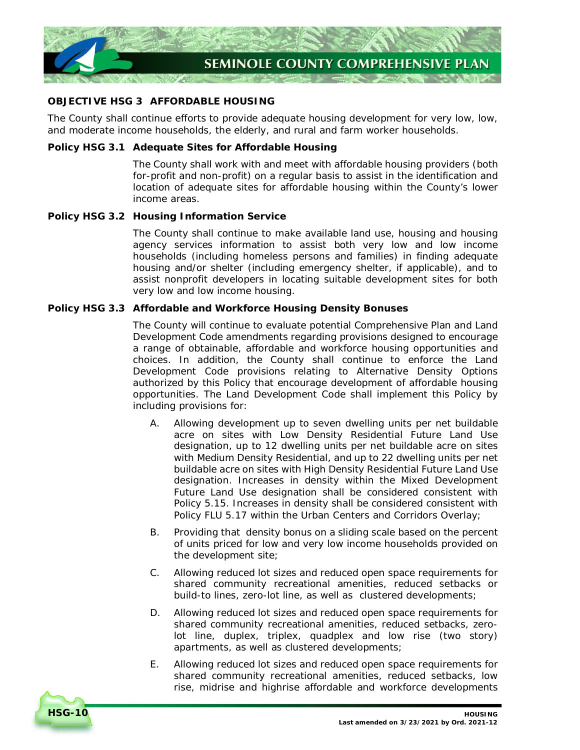

# **OBJECTIVE HSG 3 AFFORDABLE HOUSING**

 The County shall continue efforts to provide adequate housing development for very low, low, and moderate income households, the elderly, and rural and farm worker households.

# **Policy HSG 3.1 Adequate Sites for Affordable Housing**

 The County shall work with and meet with affordable housing providers (both for-profit and non-profit) on a regular basis to assist in the identification and location of adequate sites for affordable housing within the County's lower income areas.

# **Policy HSG 3.2 Housing Information Service**

 The County shall continue to make available land use, housing and housing agency services information to assist both very low and low income households (including homeless persons and families) in finding adequate housing and/or shelter (including emergency shelter, if applicable), and to assist nonprofit developers in locating suitable development sites for both very low and low income housing.

# **Policy HSG 3.3 Affordable and Workforce Housing Density Bonuses**

 The County will continue to evaluate potential Comprehensive Plan and Land Development Code amendments regarding provisions designed to encourage a range of obtainable, affordable and workforce housing opportunities and choices. In addition, the County shall continue to enforce the Land Development Code provisions relating to Alternative Density Options authorized by this Policy that encourage development of affordable housing opportunities. The Land Development Code shall implement this Policy by including provisions for:

- A. Allowing development up to seven dwelling units per net buildable acre on sites with Low Density Residential Future Land Use designation, up to 12 dwelling units per net buildable acre on sites with Medium Density Residential, and up to 22 dwelling units per net buildable acre on sites with High Density Residential Future Land Use designation. Increases in density within the Mixed Development Future Land Use designation shall be considered consistent with Policy 5.15. Increases in density shall be considered consistent with Policy FLU 5.17 within the Urban Centers and Corridors Overlay;
- B. Providing that density bonus on a sliding scale based on the percent of units priced for low and very low income households provided on the development site;
- C. Allowing reduced lot sizes and reduced open space requirements for shared community recreational amenities, reduced setbacks or build-to lines, zero-lot line, as well as clustered developments;
- D. Allowing reduced lot sizes and reduced open space requirements for shared community recreational amenities, reduced setbacks, zero- lot line, duplex, triplex, quadplex and low rise (two story) apartments, as well as clustered developments;
- E. Allowing reduced lot sizes and reduced open space requirements for shared community recreational amenities, reduced setbacks, low rise, midrise and highrise affordable and workforce developments

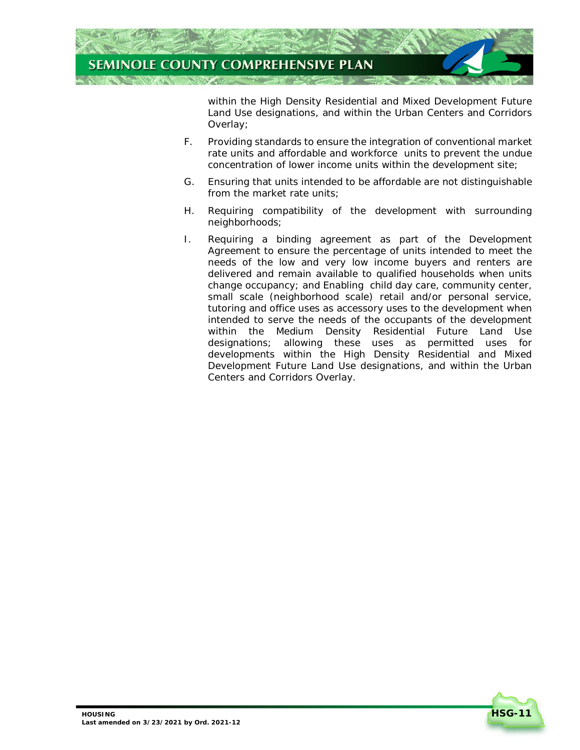

 within the High Density Residential and Mixed Development Future Land Use designations, and within the Urban Centers and Corridors Overlay;

- F. Providing standards to ensure the integration of conventional market rate units and affordable and workforce units to prevent the undue concentration of lower income units within the development site;
- G. Ensuring that units intended to be affordable are not distinguishable from the market rate units;
- H. Requiring compatibility of the development with surrounding neighborhoods;
- I. Requiring a binding agreement as part of the Development Agreement to ensure the percentage of units intended to meet the needs of the low and very low income buyers and renters are delivered and remain available to qualified households when units change occupancy; and Enabling child day care, community center, small scale (neighborhood scale) retail and/or personal service, tutoring and office uses as accessory uses to the development when intended to serve the needs of the occupants of the development within the Medium Density Residential Future Land Use designations; allowing these uses as permitted uses for developments within the High Density Residential and Mixed Development Future Land Use designations, and within the Urban Centers and Corridors Overlay.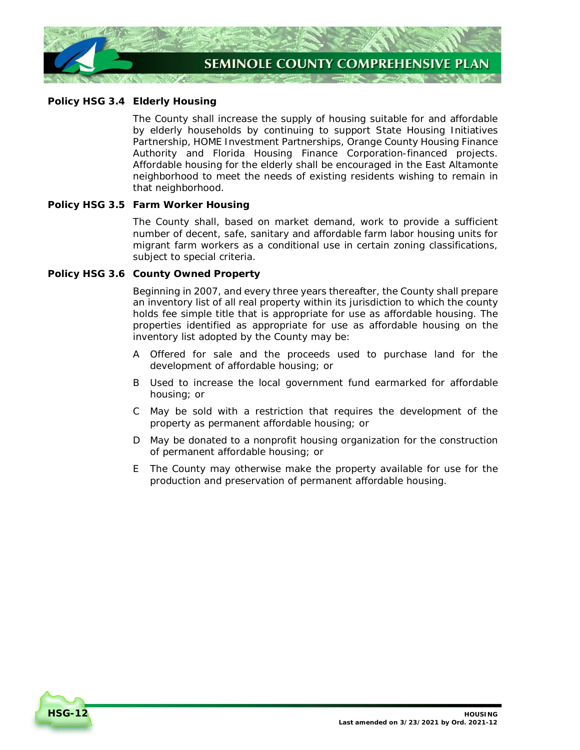

# **Policy HSG 3.4 Elderly Housing**

 The County shall increase the supply of housing suitable for and affordable by elderly households by continuing to support State Housing Initiatives Partnership, HOME Investment Partnerships, Orange County Housing Finance Authority and Florida Housing Finance Corporation-financed projects. Affordable housing for the elderly shall be encouraged in the East Altamonte neighborhood to meet the needs of existing residents wishing to remain in that neighborhood.

# **Policy HSG 3.5 Farm Worker Housing**

 The County shall, based on market demand, work to provide a sufficient number of decent, safe, sanitary and affordable farm labor housing units for migrant farm workers as a conditional use in certain zoning classifications, subject to special criteria.

# **Policy HSG 3.6 County Owned Property**

 Beginning in 2007, and every three years thereafter, the County shall prepare an inventory list of all real property within its jurisdiction to which the county holds fee simple title that is appropriate for use as affordable housing. The properties identified as appropriate for use as affordable housing on the inventory list adopted by the County may be:

- A Offered for sale and the proceeds used to purchase land for the development of affordable housing; or
- B Used to increase the local government fund earmarked for affordable housing; or
- C May be sold with a restriction that requires the development of the property as permanent affordable housing; or
- D May be donated to a nonprofit housing organization for the construction of permanent affordable housing; or
- E The County may otherwise make the property available for use for the production and preservation of permanent affordable housing.

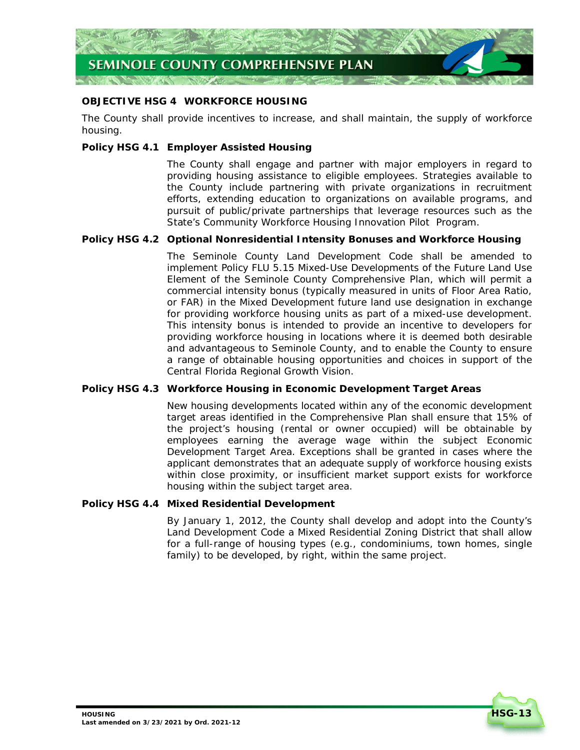

# **OBJECTIVE HSG 4 WORKFORCE HOUSING**

 The County shall provide incentives to increase, and shall maintain, the supply of workforce housing.

## **Policy HSG 4.1 Employer Assisted Housing**

 The County shall engage and partner with major employers in regard to providing housing assistance to eligible employees. Strategies available to the County include partnering with private organizations in recruitment efforts, extending education to organizations on available programs, and pursuit of public/private partnerships that leverage resources such as the State's Community Workforce Housing Innovation Pilot Program.

# **Policy HSG 4.2 Optional Nonresidential Intensity Bonuses and Workforce Housing**

 The Seminole County Land Development Code shall be amended to  implement *Policy FLU 5.15 Mixed-Use Developments* of the Future Land Use Element of the Seminole County Comprehensive Plan, which will permit a commercial intensity bonus (typically measured in units of Floor Area Ratio, or FAR) in the Mixed Development future land use designation in exchange for providing workforce housing units as part of a mixed-use development. This intensity bonus is intended to provide an incentive to developers for providing workforce housing in locations where it is deemed both desirable and advantageous to Seminole County, and to enable the County to ensure a range of obtainable housing opportunities and choices in support of the Central Florida Regional Growth Vision.

## **Policy HSG 4.3 Workforce Housing in Economic Development Target Areas**

 New housing developments located within any of the economic development target areas identified in the Comprehensive Plan shall ensure that 15% of the project's housing (rental or owner occupied) will be obtainable by employees earning the average wage within the subject Economic Development Target Area. Exceptions shall be granted in cases where the applicant demonstrates that an adequate supply of workforce housing exists within close proximity, or insufficient market support exists for workforce housing within the subject target area.

## **Policy HSG 4.4 Mixed Residential Development**

 By January 1, 2012, the County shall develop and adopt into the County's Land Development Code a Mixed Residential Zoning District that shall allow for a full-range of housing types (e.g., condominiums, town homes, single family) to be developed, by right, within the same project.

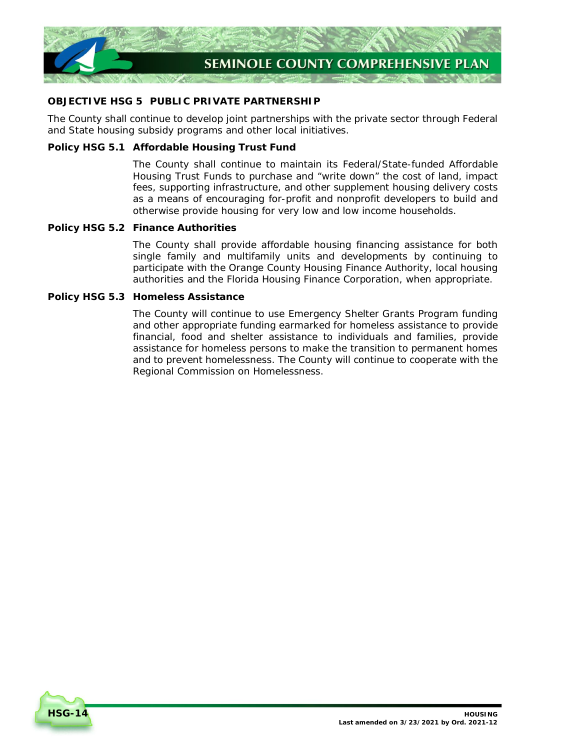

# **OBJECTIVE HSG 5 PUBLIC PRIVATE PARTNERSHIP**

 The County shall continue to develop joint partnerships with the private sector through Federal and State housing subsidy programs and other local initiatives.

### **Policy HSG 5.1 Affordable Housing Trust Fund**

 The County shall continue to maintain its Federal/State-funded Affordable Housing Trust Funds to purchase and "write down" the cost of land, impact fees, supporting infrastructure, and other supplement housing delivery costs as a means of encouraging for-profit and nonprofit developers to build and otherwise provide housing for very low and low income households.

#### **Policy HSG 5.2 Finance Authorities**

 The County shall provide affordable housing financing assistance for both single family and multifamily units and developments by continuing to participate with the Orange County Housing Finance Authority, local housing authorities and the Florida Housing Finance Corporation, when appropriate.

#### **Policy HSG 5.3 Homeless Assistance**

 The County will continue to use Emergency Shelter Grants Program funding and other appropriate funding earmarked for homeless assistance to provide financial, food and shelter assistance to individuals and families, provide assistance for homeless persons to make the transition to permanent homes and to prevent homelessness. The County will continue to cooperate with the Regional Commission on Homelessness.

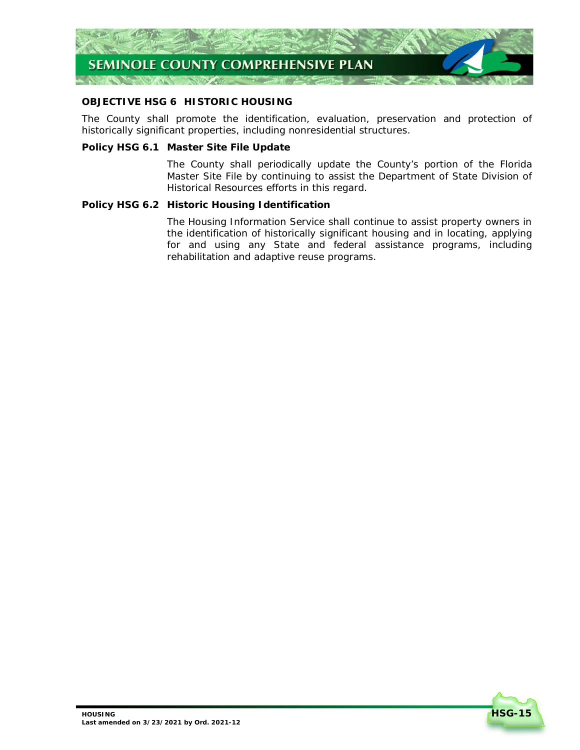

# **OBJECTIVE HSG 6 HISTORIC HOUSING**

 The County shall promote the identification, evaluation, preservation and protection of historically significant properties, including nonresidential structures.

### **Policy HSG 6.1 Master Site File Update**

 The County shall periodically update the County's portion of the Florida Master Site File by continuing to assist the Department of State Division of Historical Resources efforts in this regard.

#### **Policy HSG 6.2 Historic Housing Identification**

 The Housing Information Service shall continue to assist property owners in the identification of historically significant housing and in locating, applying for and using any State and federal assistance programs, including rehabilitation and adaptive reuse programs.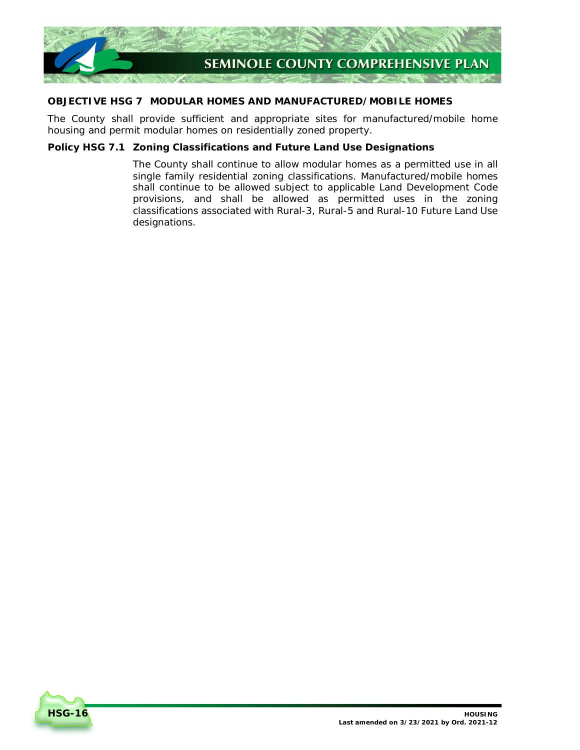

# **OBJECTIVE HSG 7 MODULAR HOMES AND MANUFACTURED/MOBILE HOMES**

 The County shall provide sufficient and appropriate sites for manufactured/mobile home housing and permit modular homes on residentially zoned property.

# **Policy HSG 7.1 Zoning Classifications and Future Land Use Designations**

 The County shall continue to allow modular homes as a permitted use in all single family residential zoning classifications. Manufactured/mobile homes shall continue to be allowed subject to applicable Land Development Code provisions, and shall be allowed as permitted uses in the zoning classifications associated with Rural-3, Rural-5 and Rural-10 Future Land Use designations.

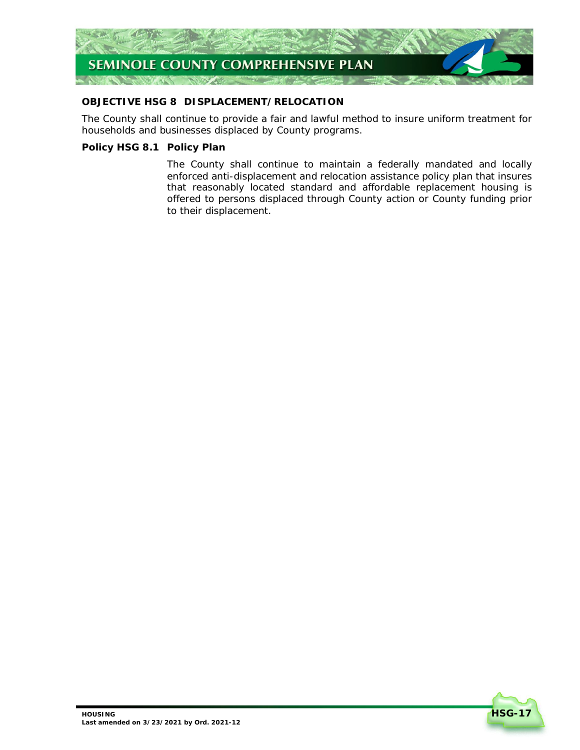

# **OBJECTIVE HSG 8 DISPLACEMENT/RELOCATION**

 The County shall continue to provide a fair and lawful method to insure uniform treatment for households and businesses displaced by County programs.

# **Policy HSG 8.1 Policy Plan**

 The County shall continue to maintain a federally mandated and locally enforced anti-displacement and relocation assistance policy plan that insures that reasonably located standard and affordable replacement housing is offered to persons displaced through County action or County funding prior to their displacement.

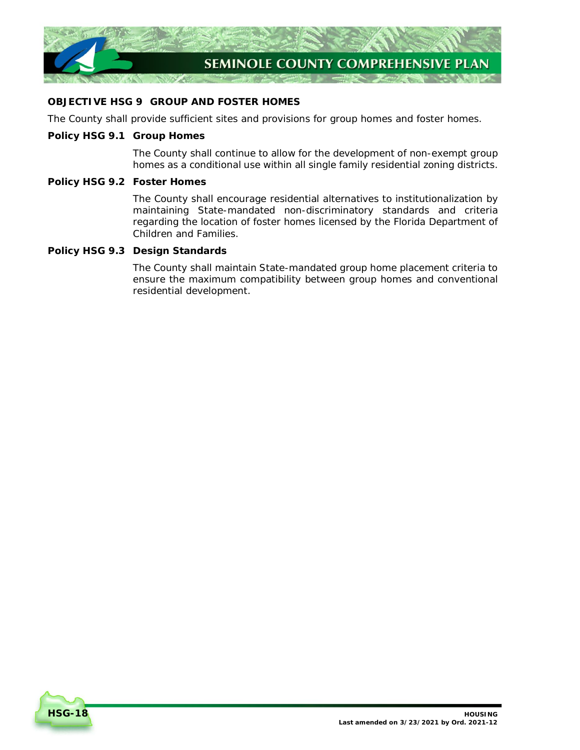

# **OBJECTIVE HSG 9 GROUP AND FOSTER HOMES**

The County shall provide sufficient sites and provisions for group homes and foster homes.

#### **Policy HSG 9.1 Group Homes**

 The County shall continue to allow for the development of non-exempt group homes as a conditional use within all single family residential zoning districts.

#### **Policy HSG 9.2 Foster Homes**

 The County shall encourage residential alternatives to institutionalization by maintaining State-mandated non-discriminatory standards and criteria regarding the location of foster homes licensed by the Florida Department of Children and Families.

#### **Policy HSG 9.3 Design Standards**

 The County shall maintain State-mandated group home placement criteria to ensure the maximum compatibility between group homes and conventional residential development.

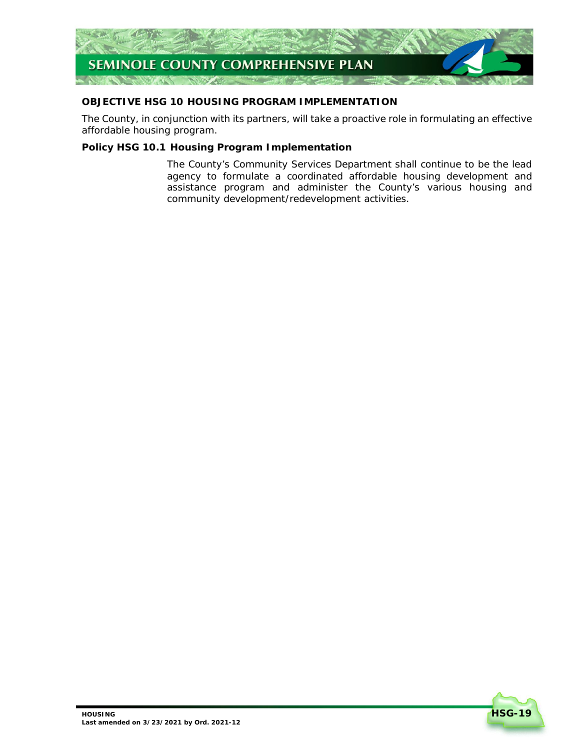

# **OBJECTIVE HSG 10 HOUSING PROGRAM IMPLEMENTATION**

 The County, in conjunction with its partners, will take a proactive role in formulating an effective affordable housing program.

### **Policy HSG 10.1 Housing Program Implementation**

 The County's Community Services Department shall continue to be the lead agency to formulate a coordinated affordable housing development and assistance program and administer the County's various housing and community development/redevelopment activities.

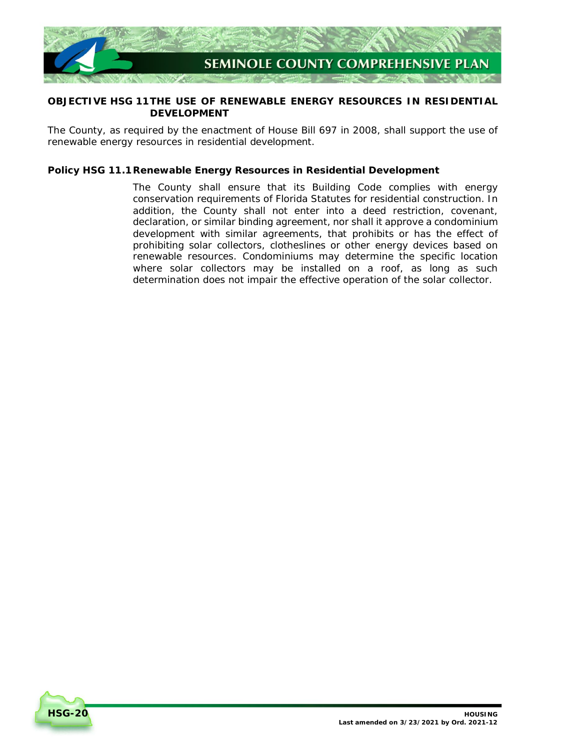

# **OBJECTIVE HSG 11THE USE OF RENEWABLE ENERGY RESOURCES IN RESIDENTIAL DEVELOPMENT**

 The County, as required by the enactment of House Bill 697 in 2008, shall support the use of renewable energy resources in residential development.

### **Policy HSG 11.1Renewable Energy Resources in Residential Development**

 The County shall ensure that its Building Code complies with energy conservation requirements of Florida Statutes for residential construction. In addition, the County shall not enter into a deed restriction, covenant, declaration, or similar binding agreement, nor shall it approve a condominium development with similar agreements, that prohibits or has the effect of prohibiting solar collectors, clotheslines or other energy devices based on renewable resources. Condominiums may determine the specific location where solar collectors may be installed on a roof, as long as such determination does not impair the effective operation of the solar collector.

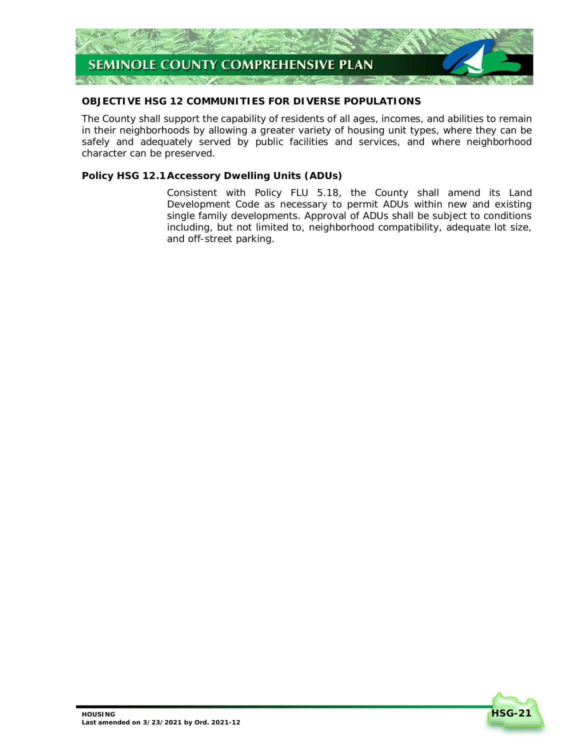

# **OBJECTIVE HSG 12 COMMUNITIES FOR DIVERSE POPULATIONS**

 The County shall support the capability of residents of all ages, incomes, and abilities to remain in their neighborhoods by allowing a greater variety of housing unit types, where they can be safely and adequately served by public facilities and services, and where neighborhood character can be preserved.

# **Policy HSG 12.1Accessory Dwelling Units (ADUs)**

 Consistent with Policy FLU 5.18, the County shall amend its Land Development Code as necessary to permit ADUs within new and existing single family developments. Approval of ADUs shall be subject to conditions including, but not limited to, neighborhood compatibility, adequate lot size, and off-street parking.